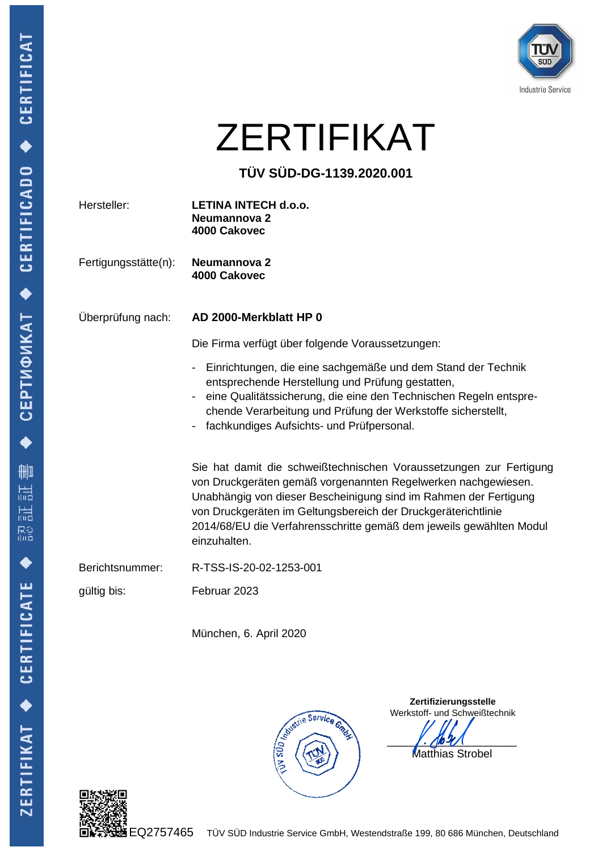

## ZERTIFIKAT

## **TÜV SÜD-DG-1139.2020.001**

| Hersteller:          | LETINA INTECH d.o.o.<br>Neumannova 2<br>4000 Cakovec                                                                                                                                                                                                                                                                                                                                                                                                                                                                                                                                 |
|----------------------|--------------------------------------------------------------------------------------------------------------------------------------------------------------------------------------------------------------------------------------------------------------------------------------------------------------------------------------------------------------------------------------------------------------------------------------------------------------------------------------------------------------------------------------------------------------------------------------|
| Fertigungsstätte(n): | Neumannova 2<br>4000 Cakovec                                                                                                                                                                                                                                                                                                                                                                                                                                                                                                                                                         |
| Überprüfung nach:    | AD 2000-Merkblatt HP 0                                                                                                                                                                                                                                                                                                                                                                                                                                                                                                                                                               |
|                      | Die Firma verfügt über folgende Voraussetzungen:                                                                                                                                                                                                                                                                                                                                                                                                                                                                                                                                     |
|                      | Einrichtungen, die eine sachgemäße und dem Stand der Technik<br>Ξ.<br>entsprechende Herstellung und Prüfung gestatten,<br>eine Qualitätssicherung, die eine den Technischen Regeln entspre-<br>chende Verarbeitung und Prüfung der Werkstoffe sicherstellt,<br>fachkundiges Aufsichts- und Prüfpersonal.<br>Sie hat damit die schweißtechnischen Voraussetzungen zur Fertigung<br>von Druckgeräten gemäß vorgenannten Regelwerken nachgewiesen.<br>Unabhängig von dieser Bescheinigung sind im Rahmen der Fertigung<br>von Druckgeräten im Geltungsbereich der Druckgeräterichtlinie |
|                      | 2014/68/EU die Verfahrensschritte gemäß dem jeweils gewählten Modul<br>einzuhalten.                                                                                                                                                                                                                                                                                                                                                                                                                                                                                                  |
| Berichtsnummer:      | R-TSS-IS-20-02-1253-001                                                                                                                                                                                                                                                                                                                                                                                                                                                                                                                                                              |
| gültig bis:          | Februar 2023                                                                                                                                                                                                                                                                                                                                                                                                                                                                                                                                                                         |
|                      | München, 6. April 2020                                                                                                                                                                                                                                                                                                                                                                                                                                                                                                                                                               |
|                      | Zertifizierungsstelle<br>Werkstoff- und Schweißtechnik<br>Studit Service Gings<br>Matthias Strobel                                                                                                                                                                                                                                                                                                                                                                                                                                                                                   |